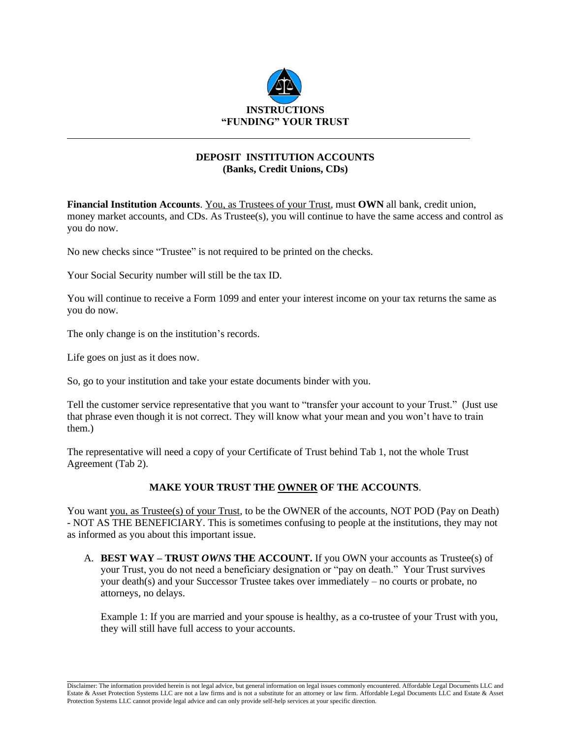

## **DEPOSIT INSTITUTION ACCOUNTS (Banks, Credit Unions, CDs)**

**Financial Institution Accounts**. You, as Trustees of your Trust, must **OWN** all bank, credit union, money market accounts, and CDs. As Trustee(s), you will continue to have the same access and control as you do now.

No new checks since "Trustee" is not required to be printed on the checks.

Your Social Security number will still be the tax ID.

You will continue to receive a Form 1099 and enter your interest income on your tax returns the same as you do now.

The only change is on the institution's records.

Life goes on just as it does now.

So, go to your institution and take your estate documents binder with you.

Tell the customer service representative that you want to "transfer your account to your Trust." (Just use that phrase even though it is not correct. They will know what your mean and you won't have to train them.)

The representative will need a copy of your Certificate of Trust behind Tab 1, not the whole Trust Agreement (Tab 2).

## **MAKE YOUR TRUST THE OWNER OF THE ACCOUNTS**.

You want you, as Trustee(s) of your Trust, to be the OWNER of the accounts, NOT POD (Pay on Death) - NOT AS THE BENEFICIARY. This is sometimes confusing to people at the institutions, they may not as informed as you about this important issue.

A. **BEST WAY – TRUST** *OWNS* **THE ACCOUNT.** If you OWN your accounts as Trustee(s) of your Trust, you do not need a beneficiary designation or "pay on death." Your Trust survives your death(s) and your Successor Trustee takes over immediately – no courts or probate, no attorneys, no delays.

Example 1: If you are married and your spouse is healthy, as a co-trustee of your Trust with you, they will still have full access to your accounts.

Disclaimer: The information provided herein is not legal advice, but general information on legal issues commonly encountered. Affordable Legal Documents LLC and Estate & Asset Protection Systems LLC are not a law firms and is not a substitute for an attorney or law firm. Affordable Legal Documents LLC and Estate & Asset Protection Systems LLC cannot provide legal advice and can only provide self-help services at your specific direction.